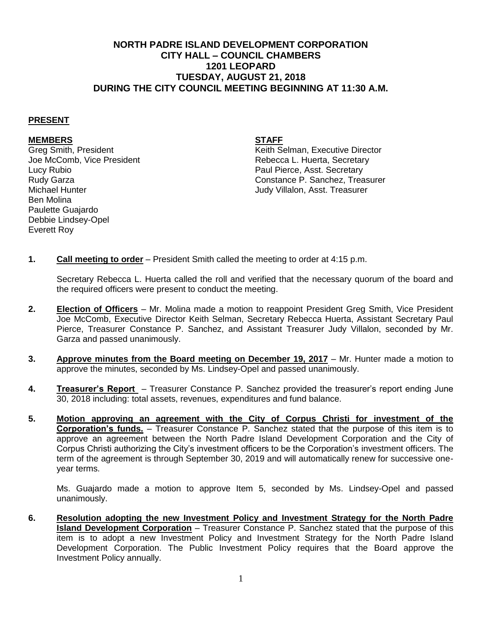## **NORTH PADRE ISLAND DEVELOPMENT CORPORATION CITY HALL – COUNCIL CHAMBERS 1201 LEOPARD TUESDAY, AUGUST 21, 2018 DURING THE CITY COUNCIL MEETING BEGINNING AT 11:30 A.M.**

## **PRESENT**

## **MEMBERS STAFF**

Lucy Rubio Paul Pierce, Asst. Secretary Michael Hunter Judy Villalon, Asst. Treasurer Ben Molina Paulette Guajardo Debbie Lindsey-Opel Everett Roy

Greg Smith, President (Greg Smith, President According to the Music Selman, Executive Director<br>
Secretary (Greg Accomb. Vice President According to the Music Secretary (Greg According to the Music Secretar Rebecca L. Huerta, Secretary Rudy Garza Constance P. Sanchez, Treasurer

**1. Call meeting to order** – President Smith called the meeting to order at 4:15 p.m.

Secretary Rebecca L. Huerta called the roll and verified that the necessary quorum of the board and the required officers were present to conduct the meeting.

- **2. Election of Officers** Mr. Molina made a motion to reappoint President Greg Smith, Vice President Joe McComb, Executive Director Keith Selman, Secretary Rebecca Huerta, Assistant Secretary Paul Pierce, Treasurer Constance P. Sanchez, and Assistant Treasurer Judy Villalon, seconded by Mr. Garza and passed unanimously.
- **3. Approve minutes from the Board meeting on December 19, 2017** Mr. Hunter made a motion to approve the minutes, seconded by Ms. Lindsey-Opel and passed unanimously.
- **4. Treasurer's Report** Treasurer Constance P. Sanchez provided the treasurer's report ending June 30, 2018 including: total assets, revenues, expenditures and fund balance.
- **5. Motion approving an agreement with the City of Corpus Christi for investment of the Corporation's funds.** – Treasurer Constance P. Sanchez stated that the purpose of this item is to approve an agreement between the North Padre Island Development Corporation and the City of Corpus Christi authorizing the City's investment officers to be the Corporation's investment officers. The term of the agreement is through September 30, 2019 and will automatically renew for successive oneyear terms.

Ms. Guajardo made a motion to approve Item 5, seconded by Ms. Lindsey-Opel and passed unanimously.

**6. Resolution adopting the new Investment Policy and Investment Strategy for the North Padre Island Development Corporation** – Treasurer Constance P. Sanchez stated that the purpose of this item is to adopt a new Investment Policy and Investment Strategy for the North Padre Island Development Corporation. The Public Investment Policy requires that the Board approve the Investment Policy annually.